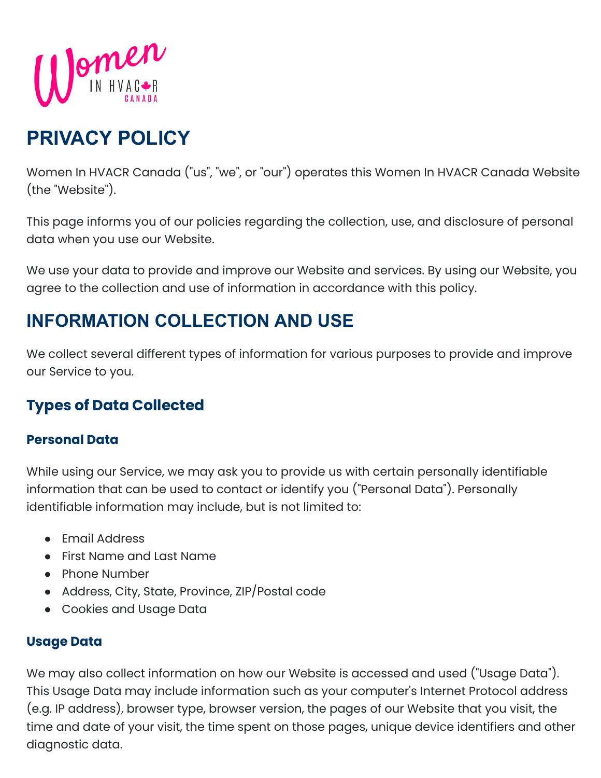

# **PRIVACY POLICY**

Women In HVACR Canada ("us", "we", or "our") operates this Women In HVACR Canada Website (the "Website").

This page informs you of our policies regarding the collection, use, and disclosure of personal data when you use our Website.

We use your data to provide and improve our Website and services. By using our Website, you agree to the collection and use of information in accordance with this policy.

## **INFORMATION COLLECTION AND USE**

We collect several different types of information for various purposes to provide and improve our Service to you.

## **Types of Data Collected**

#### **Personal Data**

While using our Service, we may ask you to provide us with certain personally identifiable information that can be used to contact or identify you ("Personal Data"). Personally identifiable information may include, but is not limited to:

- Email Address
- First Name and Last Name
- Phone Number
- Address, City, State, Province, ZIP/Postal code
- Cookies and Usage Data

#### **Usage Data**

We may also collect information on how our Website is accessed and used ("Usage Data"). This Usage Data may include information such as your computer's Internet Protocol address (e.g. IP address), browser type, browser version, the pages of our Website that you visit, the time and date of your visit, the time spent on those pages, unique device identifiers and other diagnostic data.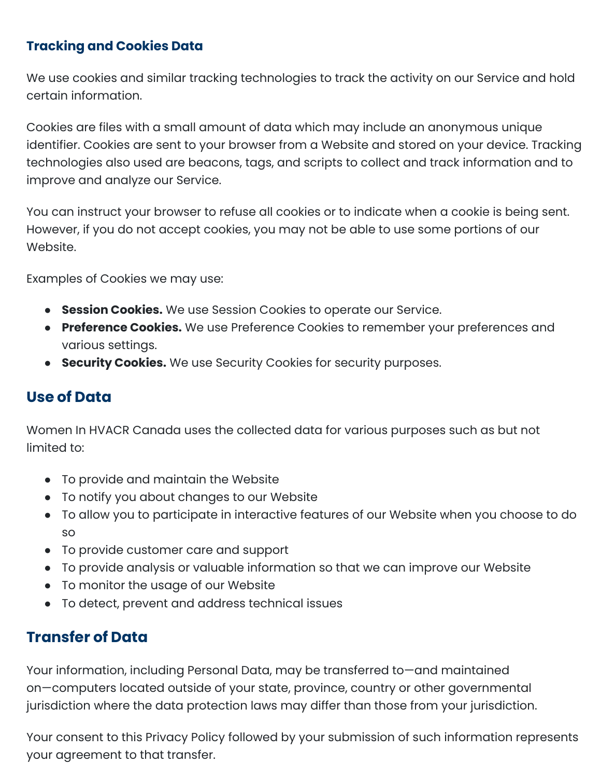#### **Tracking and Cookies Data**

We use cookies and similar tracking technologies to track the activity on our Service and hold certain information.

Cookies are files with a small amount of data which may include an anonymous unique identifier. Cookies are sent to your browser from a Website and stored on your device. Tracking technologies also used are beacons, tags, and scripts to collect and track information and to improve and analyze our Service.

You can instruct your browser to refuse all cookies or to indicate when a cookie is being sent. However, if you do not accept cookies, you may not be able to use some portions of our Website.

Examples of Cookies we may use:

- **Session Cookies.** We use Session Cookies to operate our Service.
- **Preference Cookies.** We use Preference Cookies to remember your preferences and various settings.
- **Security Cookies.** We use Security Cookies for security purposes.

#### **Use of Data**

Women In HVACR Canada uses the collected data for various purposes such as but not limited to:

- To provide and maintain the Website
- To notify you about changes to our Website
- To allow you to participate in interactive features of our Website when you choose to do so
- To provide customer care and support
- To provide analysis or valuable information so that we can improve our Website
- To monitor the usage of our Website
- To detect, prevent and address technical issues

## **Transfer of Data**

Your information, including Personal Data, may be transferred to—and maintained on—computers located outside of your state, province, country or other governmental jurisdiction where the data protection laws may differ than those from your jurisdiction.

Your consent to this Privacy Policy followed by your submission of such information represents your agreement to that transfer.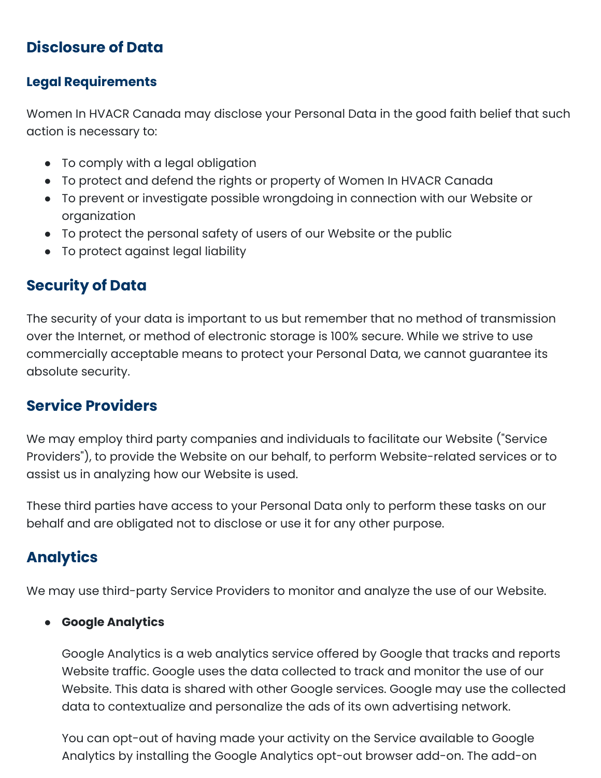## **Disclosure of Data**

#### **Legal Requirements**

Women In HVACR Canada may disclose your Personal Data in the good faith belief that such action is necessary to:

- To comply with a legal obligation
- To protect and defend the rights or property of Women In HVACR Canada
- To prevent or investigate possible wrongdoing in connection with our Website or organization
- To protect the personal safety of users of our Website or the public
- To protect against legal liability

## **Security of Data**

The security of your data is important to us but remember that no method of transmission over the Internet, or method of electronic storage is 100% secure. While we strive to use commercially acceptable means to protect your Personal Data, we cannot guarantee its absolute security.

## **Service Providers**

We may employ third party companies and individuals to facilitate our Website ("Service Providers"), to provide the Website on our behalf, to perform Website-related services or to assist us in analyzing how our Website is used.

These third parties have access to your Personal Data only to perform these tasks on our behalf and are obligated not to disclose or use it for any other purpose.

## **Analytics**

We may use third-party Service Providers to monitor and analyze the use of our Website.

#### ● **Google Analytics**

Google Analytics is a web analytics service offered by Google that tracks and reports Website traffic. Google uses the data collected to track and monitor the use of our Website. This data is shared with other Google services. Google may use the collected data to contextualize and personalize the ads of its own advertising network.

You can opt-out of having made your activity on the Service available to Google Analytics by installing the Google Analytics opt-out browser add-on. The add-on